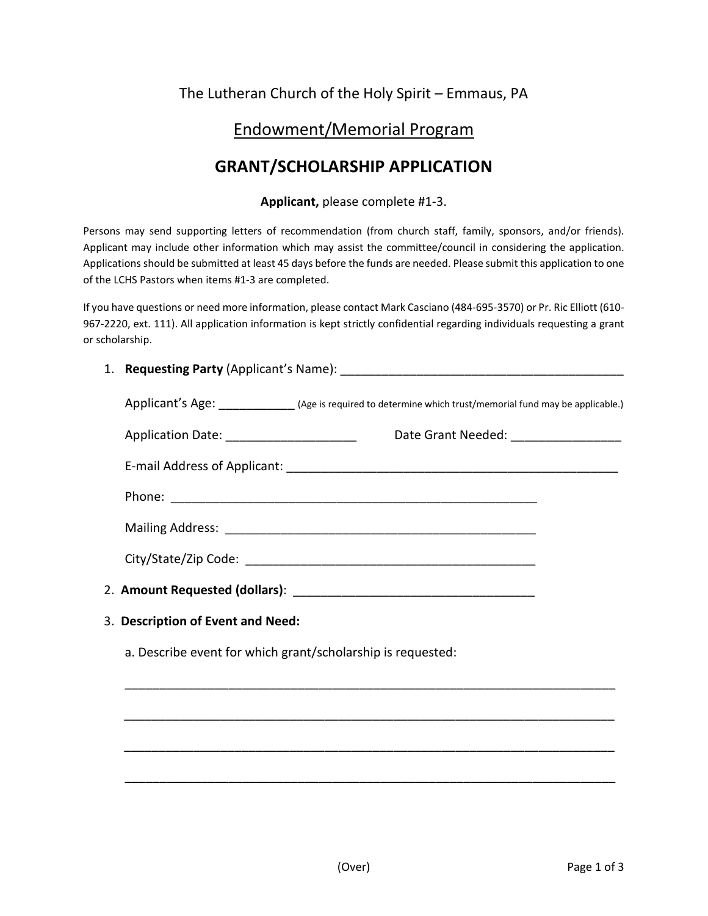## The Lutheran Church of the Holy Spirit – Emmaus, PA

## Endowment/Memorial Program

# **GRANT/SCHOLARSHIP APPLICATION**

#### **Applicant,** please complete #1-3.

Persons may send supporting letters of recommendation (from church staff, family, sponsors, and/or friends). Applicant may include other information which may assist the committee/council in considering the application. Applications should be submitted at least 45 days before the funds are needed. Please submit this application to one of the LCHS Pastors when items #1-3 are completed.

If you have questions or need more information, please contact Mark Casciano (484-695-3570) or Pr. Ric Elliott (610- 967-2220, ext. 111). All application information is kept strictly confidential regarding individuals requesting a grant or scholarship.

#### 1. **Requesting Party** (Applicant's Name): \_\_\_\_\_\_\_\_\_\_\_\_\_\_\_\_\_\_\_\_\_\_\_\_\_\_\_\_\_\_\_\_\_\_\_\_\_\_\_\_\_

|                                           | Applicant's Age: _______________ (Age is required to determine which trust/memorial fund may be applicable.) |
|-------------------------------------------|--------------------------------------------------------------------------------------------------------------|
| Application Date: _______________________ | Date Grant Needed: ___________________                                                                       |
|                                           |                                                                                                              |
|                                           |                                                                                                              |
|                                           |                                                                                                              |
|                                           |                                                                                                              |
|                                           |                                                                                                              |
| 3. Description of Event and Need:         |                                                                                                              |

\_\_\_\_\_\_\_\_\_\_\_\_\_\_\_\_\_\_\_\_\_\_\_\_\_\_\_\_\_\_\_\_\_\_\_\_\_\_\_\_\_\_\_\_\_\_\_\_\_\_\_\_\_\_\_\_\_\_\_\_\_\_\_\_\_\_\_\_\_\_\_

\_\_\_\_\_\_\_\_\_\_\_\_\_\_\_\_\_\_\_\_\_\_\_\_\_\_\_\_\_\_\_\_\_\_\_\_\_\_\_\_\_\_\_\_\_\_\_\_\_\_\_\_\_\_\_\_\_\_\_\_\_\_\_\_\_\_\_\_\_\_\_

\_\_\_\_\_\_\_\_\_\_\_\_\_\_\_\_\_\_\_\_\_\_\_\_\_\_\_\_\_\_\_\_\_\_\_\_\_\_\_\_\_\_\_\_\_\_\_\_\_\_\_\_\_\_\_\_\_\_\_\_\_\_\_\_\_\_\_\_\_\_\_

\_\_\_\_\_\_\_\_\_\_\_\_\_\_\_\_\_\_\_\_\_\_\_\_\_\_\_\_\_\_\_\_\_\_\_\_\_\_\_\_\_\_\_\_\_\_\_\_\_\_\_\_\_\_\_\_\_\_\_\_\_\_\_\_\_\_\_\_\_\_\_

a. Describe event for which grant/scholarship is requested: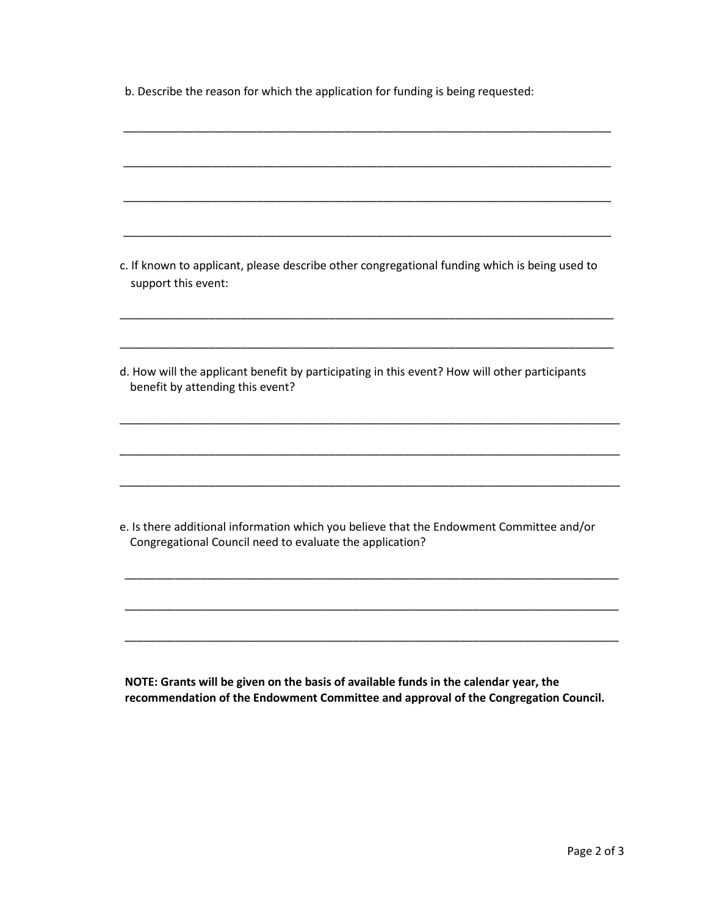b. Describe the reason for which the application for funding is being requested:

| c. If known to applicant, please describe other congregational funding which is being used to<br>support this event:                                 |
|------------------------------------------------------------------------------------------------------------------------------------------------------|
| d. How will the applicant benefit by participating in this event? How will other participants<br>benefit by attending this event?                    |
|                                                                                                                                                      |
| e. Is there additional information which you believe that the Endowment Committee and/or<br>Congregational Council need to evaluate the application? |
|                                                                                                                                                      |

**NOTE: Grants will be given on the basis of available funds in the calendar year, the recommendation of the Endowment Committee and approval of the Congregation Council.**